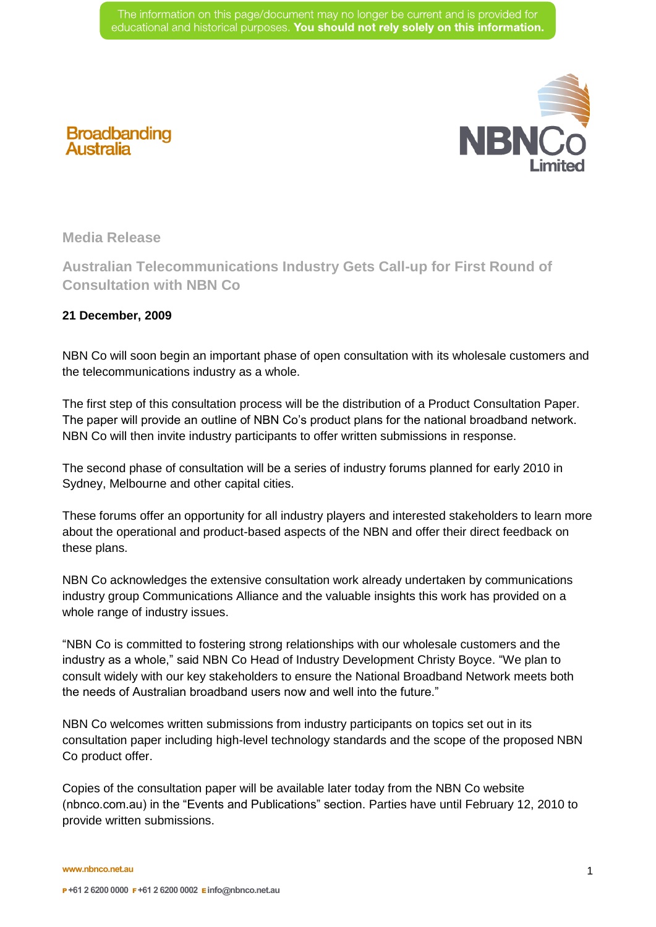

## **Broadbanding**<br>Australia

**Media Release** 

**Australian Telecommunications Industry Gets Call-up for First Round of Consultation with NBN Co** 

## **21 December, 2009**

NBN Co will soon begin an important phase of open consultation with its wholesale customers and the telecommunications industry as a whole.

The first step of this consultation process will be the distribution of a Product Consultation Paper. The paper will provide an outline of NBN Co's product plans for the national broadband network. NBN Co will then invite industry participants to offer written submissions in response.

The second phase of consultation will be a series of industry forums planned for early 2010 in Sydney, Melbourne and other capital cities.

These forums offer an opportunity for all industry players and interested stakeholders to learn more about the operational and product-based aspects of the NBN and offer their direct feedback on these plans.

NBN Co acknowledges the extensive consultation work already undertaken by communications industry group Communications Alliance and the valuable insights this work has provided on a whole range of industry issues.

"NBN Co is committed to fostering strong relationships with our wholesale customers and the industry as a whole," said NBN Co Head of Industry Development Christy Boyce. "We plan to consult widely with our key stakeholders to ensure the National Broadband Network meets both the needs of Australian broadband users now and well into the future."

NBN Co welcomes written submissions from industry participants on topics set out in its consultation paper including high-level technology standards and the scope of the proposed NBN Co product offer.

Copies of the consultation paper will be available later today from the NBN Co website (nbnco.com.au) in the "Events and Publications" section. Parties have until February 12, 2010 to provide written submissions.

**www.nbnco.net.au**